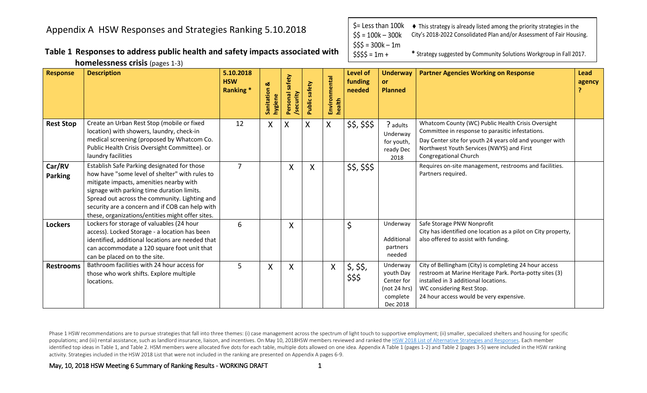**Table 1 Responses to address public health and safety impacts associated with homelessness crisis** (pages 1-3)

\$= Less than 100k  $$5 = 100k - 300k$  $$55 = 300k - 1m$  $$555 = 1m +$ This strategy is already listed among the priority strategies in the City's 2018-2022 Consolidated Plan and/or Assessment of Fair Housing. **\*** Strategy suggested by Community Solutions Workgroup in Fall 2017.

| <b>Response</b>          | <b>Description</b>                                                                                                                                                                                                                                                                                                                             | 5.10.2018<br><b>HSW</b><br>Ranking * | Sanitation &<br>hygiene | safety<br>Personal | safety<br>Public | Environmental<br>health   | Level of<br>funding<br>needed | <b>Underway</b><br><b>or</b><br><b>Planned</b>                              | <b>Partner Agencies Working on Response</b>                                                                                                                                                                                             | Lead<br>agency |
|--------------------------|------------------------------------------------------------------------------------------------------------------------------------------------------------------------------------------------------------------------------------------------------------------------------------------------------------------------------------------------|--------------------------------------|-------------------------|--------------------|------------------|---------------------------|-------------------------------|-----------------------------------------------------------------------------|-----------------------------------------------------------------------------------------------------------------------------------------------------------------------------------------------------------------------------------------|----------------|
| <b>Rest Stop</b>         | Create an Urban Rest Stop (mobile or fixed<br>location) with showers, laundry, check-in<br>medical screening (proposed by Whatcom Co.<br>Public Health Crisis Oversight Committee). or<br>laundry facilities                                                                                                                                   | 12                                   | X                       | X                  | X                | $\mathsf{X}$              | \$\$, \$\$\$                  | ? adults<br>Underway<br>for youth,<br>ready Dec<br>2018                     | Whatcom County (WC) Public Health Crisis Oversight<br>Committee in response to parasitic infestations.<br>Day Center site for youth 24 years old and younger with<br>Northwest Youth Services (NWYS) and First<br>Congregational Church |                |
| Car/RV<br><b>Parking</b> | Establish Safe Parking designated for those<br>how have "some level of shelter" with rules to<br>mitigate impacts, amenities nearby with<br>signage with parking time duration limits.<br>Spread out across the community. Lighting and<br>security are a concern and if COB can help with<br>these, organizations/entities might offer sites. | $\overline{7}$                       |                         | X                  | X                |                           | \$\$, \$\$\$                  |                                                                             | Requires on-site management, restrooms and facilities.<br>Partners required.                                                                                                                                                            |                |
| <b>Lockers</b>           | Lockers for storage of valuables (24 hour<br>access). Locked Storage - a location has been<br>identified, additional locations are needed that<br>can accommodate a 120 square foot unit that<br>can be placed on to the site.                                                                                                                 | 6                                    |                         | X                  |                  |                           | $\zeta$                       | Underway<br>Additional<br>partners<br>needed                                | Safe Storage PNW Nonprofit<br>City has identified one location as a pilot on City property,<br>also offered to assist with funding.                                                                                                     |                |
| <b>Restrooms</b>         | Bathroom facilities with 24 hour access for<br>those who work shifts. Explore multiple<br>locations.                                                                                                                                                                                                                                           | 5                                    | X                       | X                  |                  | $\boldsymbol{\mathsf{X}}$ | \$, \$\$,<br>\$\$\$           | Underway<br>youth Day<br>Center for<br>(not 24 hrs)<br>complete<br>Dec 2018 | City of Bellingham (City) is completing 24 hour access<br>restroom at Marine Heritage Park. Porta-potty sites (3)<br>installed in 3 additional locations.<br>WC considering Rest Stop.<br>24 hour access would be very expensive.       |                |

Phase 1 HSW recommendations are to pursue strategies that fall into three themes: (i) case management across the spectrum of light touch to supportive employment; (ii) smaller, specialized shelters and housing for specific populations; and (iii) rental assistance, such as landlord insurance, liaison, and incentives. On May 10, 2018HSW members reviewed and ranked the HSW 2018 List of Alternative Strategies and Responses. Each member identified top ideas in Table 1, and Table 2. HSM members were allocated five dots for each table, multiple dots allowed on one idea. Appendix A Table 1 (pages 1-2) and Table 2 (pages 3-5) were included in the HSW ranking activity. Strategies included in the HSW 2018 List that were not included in the ranking are presented on Appendix A pages 6-9.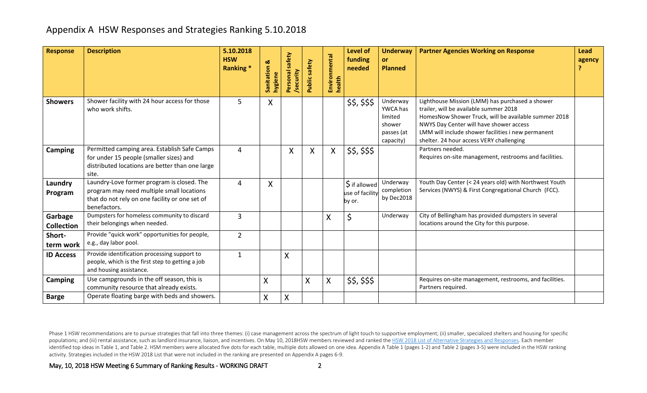| Response                     | <b>Description</b>                                                                                                                                        | 5.10.2018<br><b>HSW</b><br>Ranking* | Sanitation &<br>hygiene | safety<br>Personal<br>security | Public safety | Environmental<br>health | Level of<br>funding<br>needed              | <b>Underway</b><br><b>or</b><br><b>Planned</b>                       | <b>Partner Agencies Working on Response</b>                                                                                                                                                                                                                                                    | Lead<br>agency |
|------------------------------|-----------------------------------------------------------------------------------------------------------------------------------------------------------|-------------------------------------|-------------------------|--------------------------------|---------------|-------------------------|--------------------------------------------|----------------------------------------------------------------------|------------------------------------------------------------------------------------------------------------------------------------------------------------------------------------------------------------------------------------------------------------------------------------------------|----------------|
| <b>Showers</b>               | Shower facility with 24 hour access for those<br>who work shifts.                                                                                         | 5                                   | X                       |                                |               |                         | \$\$, \$\$\$                               | Underway<br>YWCA has<br>limited<br>shower<br>passes (at<br>capacity) | Lighthouse Mission (LMM) has purchased a shower<br>trailer, will be available summer 2018<br>HomesNow Shower Truck, will be available summer 2018<br>NWYS Day Center will have shower access<br>LMM will include shower facilities i new permanent<br>shelter. 24 hour access VERY challenging |                |
| Camping                      | Permitted camping area. Establish Safe Camps<br>for under 15 people (smaller sizes) and<br>distributed locations are better than one large<br>site.       | 4                                   |                         | X                              | X             | X                       | \$\$, \$\$\$                               |                                                                      | Partners needed.<br>Requires on-site management, restrooms and facilities.                                                                                                                                                                                                                     |                |
| Laundry<br>Program           | Laundry-Love former program is closed. The<br>program may need multiple small locations<br>that do not rely on one facility or one set of<br>benefactors. | 4                                   | Χ                       |                                |               |                         | \$ if allowed<br>use of facility<br>by or. | Underway<br>completion<br>by Dec2018                                 | Youth Day Center (< 24 years old) with Northwest Youth<br>Services (NWYS) & First Congregational Church (FCC).                                                                                                                                                                                 |                |
| Garbage<br><b>Collection</b> | Dumpsters for homeless community to discard<br>their belongings when needed.                                                                              | 3                                   |                         |                                |               | X                       | \$                                         | Underway                                                             | City of Bellingham has provided dumpsters in several<br>locations around the City for this purpose.                                                                                                                                                                                            |                |
| Short-<br>term work          | Provide "quick work" opportunities for people,<br>e.g., day labor pool.                                                                                   | $\overline{2}$                      |                         |                                |               |                         |                                            |                                                                      |                                                                                                                                                                                                                                                                                                |                |
| <b>ID Access</b>             | Provide identification processing support to<br>people, which is the first step to getting a job<br>and housing assistance.                               | 1                                   |                         | $\sf X$                        |               |                         |                                            |                                                                      |                                                                                                                                                                                                                                                                                                |                |
| <b>Camping</b>               | Use campgrounds in the off season, this is<br>community resource that already exists.                                                                     |                                     | X                       |                                | X             | X                       | \$\$, \$\$\$                               |                                                                      | Requires on-site management, restrooms, and facilities.<br>Partners required.                                                                                                                                                                                                                  |                |
| <b>Barge</b>                 | Operate floating barge with beds and showers.                                                                                                             |                                     | X                       | X                              |               |                         |                                            |                                                                      |                                                                                                                                                                                                                                                                                                |                |

Phase 1 HSW recommendations are to pursue strategies that fall into three themes: (i) case management across the spectrum of light touch to supportive employment; (ii) smaller, specialized shelters and housing for specific populations; and (iii) rental assistance, such as landlord insurance, liaison, and incentives. On May 10, 2018HSW members reviewed and ranked the HSW 2018 List of Alternative Strategies and Responses. Each member identified top ideas in Table 1, and Table 2. HSM members were allocated five dots for each table, multiple dots allowed on one idea. Appendix A Table 1 (pages 1-2) and Table 2 (pages 3-5) were included in the HSW ranking activity. Strategies included in the HSW 2018 List that were not included in the ranking are presented on Appendix A pages 6-9.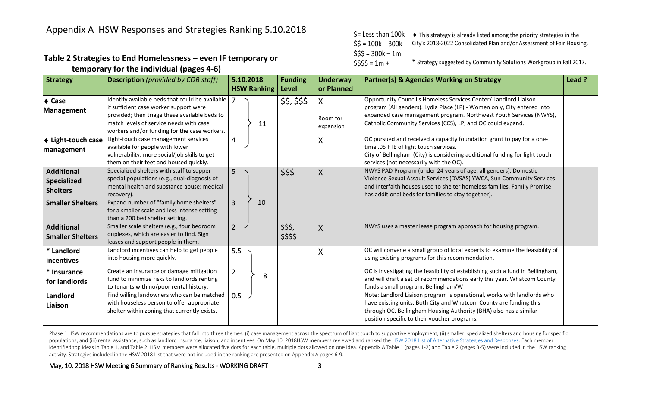#### **Table 2 Strategies to End Homelessness – even IF temporary or temporary for the individual (pages 4-6)**

| $\frac{1}{2}$ Less than 100k       | • This strategy is already listed among the priority strategies in the |
|------------------------------------|------------------------------------------------------------------------|
| $SS = 100k - 300k$                 | City's 2018-2022 Consolidated Plan and/or Assessment of Fair Housing.  |
| $$55 = 300k - 1m$<br>$$555 = 1m +$ | * Strategy suggested by Community Solutions Workgroup in Fall 2017.    |

| <b>Strategy</b>                                            | <b>Description</b> (provided by COB staff)                                                                                                                                                                                            | 5.10.2018                | <b>Funding</b>        | <b>Underway</b>                          | <b>Partner(s) &amp; Agencies Working on Strategy</b>                                                                                                                                                                                                                             | Lead ? |
|------------------------------------------------------------|---------------------------------------------------------------------------------------------------------------------------------------------------------------------------------------------------------------------------------------|--------------------------|-----------------------|------------------------------------------|----------------------------------------------------------------------------------------------------------------------------------------------------------------------------------------------------------------------------------------------------------------------------------|--------|
| $\triangle$ Case<br>Management                             | Identify available beds that could be available<br>if sufficient case worker support were<br>provided; then triage these available beds to<br>match levels of service needs with case<br>workers and/or funding for the case workers. | <b>HSW Ranking</b><br>11 | Level<br>\$\$, \$\$\$ | or Planned<br>X<br>Room for<br>expansion | Opportunity Council's Homeless Services Center/ Landlord Liaison<br>program (All genders). Lydia Place (LP) - Women only, City entered into<br>expanded case management program. Northwest Youth Services (NWYS),<br>Catholic Community Services (CCS), LP, and OC could expand. |        |
| ♦ Light-touch case<br>management                           | Light-touch case management services<br>available for people with lower<br>vulnerability, more social/job skills to get<br>them on their feet and housed quickly.                                                                     | 4                        |                       | X                                        | OC pursued and received a capacity foundation grant to pay for a one-<br>time .05 FTE of light touch services.<br>City of Bellingham (City) is considering additional funding for light touch<br>services (not necessarily with the OC).                                         |        |
| <b>Additional</b><br><b>Specialized</b><br><b>Shelters</b> | Specialized shelters with staff to supper<br>special populations (e.g., dual-diagnosis of<br>mental health and substance abuse; medical<br>recovery).                                                                                 | 5                        | \$\$\$                | X                                        | NWYS PAD Program (under 24 years of age, all genders), Domestic<br>Violence Sexual Assault Services (DVSAS) YWCA, Sun Community Services<br>and Interfaith houses used to shelter homeless families. Family Promise<br>has additional beds for families to stay together).       |        |
| <b>Smaller Shelters</b>                                    | Expand number of "family home shelters"<br>for a smaller scale and less intense setting<br>than a 200 bed shelter setting.                                                                                                            | 10<br>$\overline{3}$     |                       |                                          |                                                                                                                                                                                                                                                                                  |        |
| <b>Additional</b><br><b>Smaller Shelters</b>               | Smaller scale shelters (e.g., four bedroom<br>duplexes, which are easier to find. Sign<br>leases and support people in them.                                                                                                          | $2^{\circ}$              | \$\$\$,<br>\$\$\$\$   | $\mathsf{X}$                             | NWYS uses a master lease program approach for housing program.                                                                                                                                                                                                                   |        |
| * Landlord<br>incentives                                   | Landlord incentives can help to get people<br>into housing more quickly.                                                                                                                                                              | 5.5                      |                       | X                                        | OC will convene a small group of local experts to examine the feasibility of<br>using existing programs for this recommendation.                                                                                                                                                 |        |
| * Insurance<br>for landlords                               | Create an insurance or damage mitigation<br>fund to minimize risks to landlords renting<br>to tenants with no/poor rental history.                                                                                                    | $\overline{2}$<br>8      |                       |                                          | OC is investigating the feasibility of establishing such a fund in Bellingham,<br>and will draft a set of recommendations early this year. Whatcom County<br>funds a small program. Bellingham/W                                                                                 |        |
| Landlord<br>Liaison                                        | Find willing landowners who can be matched<br>with houseless person to offer appropriate<br>shelter within zoning that currently exists.                                                                                              | 0.5                      |                       |                                          | Note: Landlord Liaison program is operational, works with landlords who<br>have existing units. Both City and Whatcom County are funding this<br>through OC. Bellingham Housing Authority (BHA) also has a similar<br>position specific to their voucher programs.               |        |

Phase 1 HSW recommendations are to pursue strategies that fall into three themes: (i) case management across the spectrum of light touch to supportive employment; (ii) smaller, specialized shelters and housing for specific populations; and (iii) rental assistance, such as landlord insurance, liaison, and incentives. On May 10, 2018HSW members reviewed and ranked the HSW 2018 List of Alternative Strategies and Responses. Each member identified top ideas in Table 1, and Table 2. HSM members were allocated five dots for each table, multiple dots allowed on one idea. Appendix A Table 1 (pages 1-2) and Table 2 (pages 3-5) were included in the HSW ranking activity. Strategies included in the HSW 2018 List that were not included in the ranking are presented on Appendix A pages 6-9.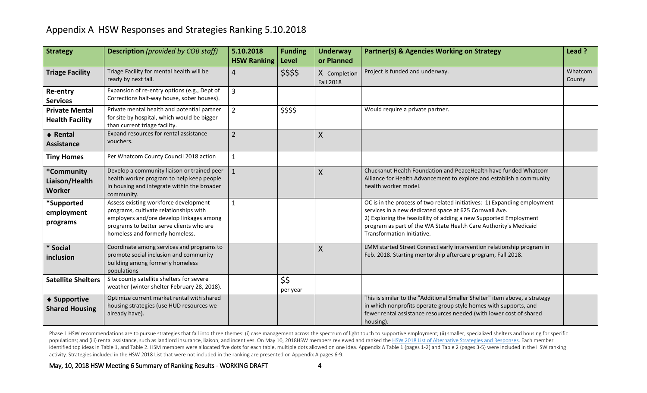| <b>Strategy</b>                                 | <b>Description</b> (provided by COB staff)                                                                                                                                                                 | 5.10.2018<br><b>HSW Ranking</b> | <b>Funding</b><br>Level | <b>Underway</b><br>or Planned    | Partner(s) & Agencies Working on Strategy                                                                                                                                                                                                                                                                 | Lead ?            |
|-------------------------------------------------|------------------------------------------------------------------------------------------------------------------------------------------------------------------------------------------------------------|---------------------------------|-------------------------|----------------------------------|-----------------------------------------------------------------------------------------------------------------------------------------------------------------------------------------------------------------------------------------------------------------------------------------------------------|-------------------|
| <b>Triage Facility</b>                          | Triage Facility for mental health will be<br>ready by next fall.                                                                                                                                           | 4                               | \$\$\$\$                | X Completion<br><b>Fall 2018</b> | Project is funded and underway.                                                                                                                                                                                                                                                                           | Whatcom<br>County |
| Re-entry<br><b>Services</b>                     | Expansion of re-entry options (e.g., Dept of<br>Corrections half-way house, sober houses).                                                                                                                 | $\overline{3}$                  |                         |                                  |                                                                                                                                                                                                                                                                                                           |                   |
| <b>Private Mental</b><br><b>Health Facility</b> | Private mental health and potential partner<br>for site by hospital, which would be bigger<br>than current triage facility.                                                                                | $2^{\circ}$                     | \$\$\$\$                |                                  | Would require a private partner.                                                                                                                                                                                                                                                                          |                   |
| ♦ Rental<br><b>Assistance</b>                   | Expand resources for rental assistance<br>vouchers.                                                                                                                                                        | $2^{\circ}$                     |                         | $\sf X$                          |                                                                                                                                                                                                                                                                                                           |                   |
| <b>Tiny Homes</b>                               | Per Whatcom County Council 2018 action                                                                                                                                                                     | $\mathbf{1}$                    |                         |                                  |                                                                                                                                                                                                                                                                                                           |                   |
| *Community<br>Liaison/Health<br><b>Worker</b>   | Develop a community liaison or trained peer<br>health worker program to help keep people<br>in housing and integrate within the broader<br>community.                                                      | $\mathbf{1}$                    |                         | $\sf X$                          | Chuckanut Health Foundation and PeaceHealth have funded Whatcom<br>Alliance for Health Advancement to explore and establish a community<br>health worker model.                                                                                                                                           |                   |
| *Supported<br>employment<br>programs            | Assess existing workforce development<br>programs, cultivate relationships with<br>employers and/ore develop linkages among<br>programs to better serve clients who are<br>homeless and formerly homeless. | $\mathbf{1}$                    |                         |                                  | OC is in the process of two related initiatives: 1) Expanding employment<br>services in a new dedicated space at 625 Cornwall Ave.<br>2) Exploring the feasibility of adding a new Supported Employment<br>program as part of the WA State Health Care Authority's Medicaid<br>Transformation Initiative. |                   |
| * Social<br>inclusion                           | Coordinate among services and programs to<br>promote social inclusion and community<br>building among formerly homeless<br>populations                                                                     |                                 |                         | $\sf X$                          | LMM started Street Connect early intervention relationship program in<br>Feb. 2018. Starting mentorship aftercare program, Fall 2018.                                                                                                                                                                     |                   |
| <b>Satellite Shelters</b>                       | Site county satellite shelters for severe<br>weather (winter shelter February 28, 2018).                                                                                                                   |                                 | \$\$<br>per year        |                                  |                                                                                                                                                                                                                                                                                                           |                   |
| ♦ Supportive<br><b>Shared Housing</b>           | Optimize current market rental with shared<br>housing strategies (use HUD resources we<br>already have).                                                                                                   |                                 |                         |                                  | This is similar to the "Additional Smaller Shelter" item above, a strategy<br>in which nonprofits operate group style homes with supports, and<br>fewer rental assistance resources needed (with lower cost of shared<br>housing).                                                                        |                   |

Phase 1 HSW recommendations are to pursue strategies that fall into three themes: (i) case management across the spectrum of light touch to supportive employment; (ii) smaller, specialized shelters and housing for specific populations; and (iii) rental assistance, such as landlord insurance, liaison, and incentives. On May 10, 2018HSW members reviewed and ranked the HSW 2018 List of Alternative Strategies and Responses. Each member identified top ideas in Table 1, and Table 2. HSM members were allocated five dots for each table, multiple dots allowed on one idea. Appendix A Table 1 (pages 1-2) and Table 2 (pages 3-5) were included in the HSW ranking activity. Strategies included in the HSW 2018 List that were not included in the ranking are presented on Appendix A pages 6-9.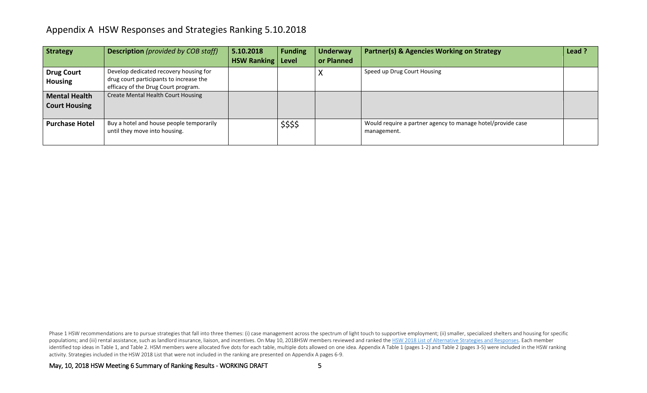| <b>Strategy</b>                              | <b>Description</b> (provided by COB staff)                                                                               | 5.10.2018<br><b>HSW Ranking   Level</b> | <b>Funding</b> | <b>Underway</b><br>or Planned | <b>Partner(s) &amp; Agencies Working on Strategy</b>                       | Lead ? |
|----------------------------------------------|--------------------------------------------------------------------------------------------------------------------------|-----------------------------------------|----------------|-------------------------------|----------------------------------------------------------------------------|--------|
| <b>Drug Court</b><br><b>Housing</b>          | Develop dedicated recovery housing for<br>drug court participants to increase the<br>efficacy of the Drug Court program. |                                         |                | $\lambda$                     | Speed up Drug Court Housing                                                |        |
| <b>Mental Health</b><br><b>Court Housing</b> | Create Mental Health Court Housing                                                                                       |                                         |                |                               |                                                                            |        |
| <b>Purchase Hotel</b>                        | Buy a hotel and house people temporarily<br>until they move into housing.                                                |                                         | \$\$\$\$       |                               | Would require a partner agency to manage hotel/provide case<br>management. |        |

Phase 1 HSW recommendations are to pursue strategies that fall into three themes: (i) case management across the spectrum of light touch to supportive employment; (ii) smaller, specialized shelters and housing for specific populations; and (iii) rental assistance, such as landlord insurance, liaison, and incentives. On May 10, 2018HSW members reviewed and ranked the HSW 2018 List of Alternative Strategies and Responses. Each member identified top ideas in Table 1, and Table 2. HSM members were allocated five dots for each table, multiple dots allowed on one idea. Appendix A Table 1 (pages 1-2) and Table 2 (pages 3-5) were included in the HSW ranking activity. Strategies included in the HSW 2018 List that were not included in the ranking are presented on Appendix A pages 6-9.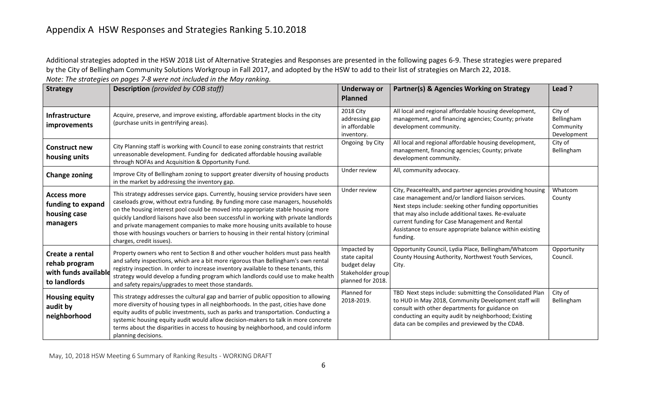Additional strategies adopted in the HSW 2018 List of Alternative Strategies and Responses are presented in the following pages 6-9. These strategies were prepared by the City of Bellingham Community Solutions Workgroup in Fall 2017, and adopted by the HSW to add to their list of strategies on March 22, 2018.

| <b>Strategy</b>                                                          | <b>Description</b> (provided by COB staff)                                                                                                                                                                                                                                                                                                                                                                                                                                                                                                                   | <b>Underway or</b><br><b>Planned</b>                                                   | Partner(s) & Agencies Working on Strategy                                                                                                                                                                                                                                                                                                                  | Lead ?                                            |
|--------------------------------------------------------------------------|--------------------------------------------------------------------------------------------------------------------------------------------------------------------------------------------------------------------------------------------------------------------------------------------------------------------------------------------------------------------------------------------------------------------------------------------------------------------------------------------------------------------------------------------------------------|----------------------------------------------------------------------------------------|------------------------------------------------------------------------------------------------------------------------------------------------------------------------------------------------------------------------------------------------------------------------------------------------------------------------------------------------------------|---------------------------------------------------|
| <b>Infrastructure</b><br><i>improvements</i>                             | Acquire, preserve, and improve existing, affordable apartment blocks in the city<br>(purchase units in gentrifying areas).                                                                                                                                                                                                                                                                                                                                                                                                                                   | 2018 City<br>addressing gap<br>in affordable<br>inventory.                             | All local and regional affordable housing development,<br>management, and financing agencies; County; private<br>development community.                                                                                                                                                                                                                    | City of<br>Bellingham<br>Community<br>Development |
| <b>Construct new</b><br>housing units                                    | City Planning staff is working with Council to ease zoning constraints that restrict<br>unreasonable development. Funding for dedicated affordable housing available<br>through NOFAs and Acquisition & Opportunity Fund.                                                                                                                                                                                                                                                                                                                                    | Ongoing by City                                                                        | All local and regional affordable housing development,<br>management, financing agencies; County; private<br>development community.                                                                                                                                                                                                                        | City of<br>Bellingham                             |
| <b>Change zoning</b>                                                     | Improve City of Bellingham zoning to support greater diversity of housing products<br>in the market by addressing the inventory gap.                                                                                                                                                                                                                                                                                                                                                                                                                         | Under review                                                                           | All, community advocacy.                                                                                                                                                                                                                                                                                                                                   |                                                   |
| <b>Access more</b><br>funding to expand<br>housing case<br>managers      | This strategy addresses service gaps. Currently, housing service providers have seen<br>caseloads grow, without extra funding. By funding more case managers, households<br>on the housing interest pool could be moved into appropriate stable housing more<br>quickly Landlord liaisons have also been successful in working with private landlords<br>and private management companies to make more housing units available to house<br>those with housings vouchers or barriers to housing in their rental history (criminal<br>charges, credit issues). | Under review                                                                           | City, PeaceHealth, and partner agencies providing housing<br>case management and/or landlord liaison services.<br>Next steps include: seeking other funding opportunities<br>that may also include additional taxes. Re-evaluate<br>current funding for Case Management and Rental<br>Assistance to ensure appropriate balance within existing<br>funding. | Whatcom<br>County                                 |
| Create a rental<br>rehab program<br>with funds available<br>to landlords | Property owners who rent to Section 8 and other voucher holders must pass health<br>and safety inspections, which are a bit more rigorous than Bellingham's own rental<br>registry inspection. In order to increase inventory available to these tenants, this<br>strategy would develop a funding program which landlords could use to make health<br>and safety repairs/upgrades to meet those standards.                                                                                                                                                  | Impacted by<br>state capital<br>budget delay<br>Stakeholder group<br>planned for 2018. | Opportunity Council, Lydia Place, Bellingham/Whatcom<br>County Housing Authority, Northwest Youth Services,<br>City.                                                                                                                                                                                                                                       | Opportunity<br>Council.                           |
| <b>Housing equity</b><br>audit by<br>neighborhood                        | This strategy addresses the cultural gap and barrier of public opposition to allowing<br>more diversity of housing types in all neighborhoods. In the past, cities have done<br>equity audits of public investments, such as parks and transportation. Conducting a<br>systemic housing equity audit would allow decision-makers to talk in more concrete<br>terms about the disparities in access to housing by neighborhood, and could inform<br>planning decisions.                                                                                       | Planned for<br>2018-2019.                                                              | TBD Next steps include: submitting the Consolidated Plan<br>to HUD in May 2018, Community Development staff will<br>consult with other departments for guidance on<br>conducting an equity audit by neighborhood; Existing<br>data can be compiles and previewed by the CDAB.                                                                              | City of<br>Bellingham                             |

*Note: The strategies on pages 7-8 were not included in the May ranking.*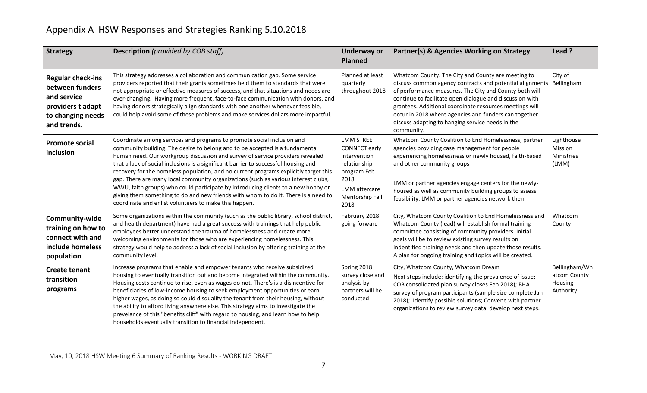| <b>Strategy</b>                                                                                                     | <b>Description</b> (provided by COB staff)                                                                                                                                                                                                                                                                                                                                                                                                                                                                                                                                                                                                                                                                                                       | <b>Underway or</b><br><b>Planned</b>                                                                                                         | Partner(s) & Agencies Working on Strategy                                                                                                                                                                                                                                                                                                                                                                                  | Lead ?                                                |
|---------------------------------------------------------------------------------------------------------------------|--------------------------------------------------------------------------------------------------------------------------------------------------------------------------------------------------------------------------------------------------------------------------------------------------------------------------------------------------------------------------------------------------------------------------------------------------------------------------------------------------------------------------------------------------------------------------------------------------------------------------------------------------------------------------------------------------------------------------------------------------|----------------------------------------------------------------------------------------------------------------------------------------------|----------------------------------------------------------------------------------------------------------------------------------------------------------------------------------------------------------------------------------------------------------------------------------------------------------------------------------------------------------------------------------------------------------------------------|-------------------------------------------------------|
| <b>Regular check-ins</b><br>between funders<br>and service<br>providers t adapt<br>to changing needs<br>and trends. | This strategy addresses a collaboration and communication gap. Some service<br>providers reported that their grants sometimes held them to standards that were<br>not appropriate or effective measures of success, and that situations and needs are<br>ever-changing. Having more frequent, face-to-face communication with donors, and<br>having donors strategically align standards with one another whenever feasible,<br>could help avoid some of these problems and make services dollars more impactful.                                                                                                                                                                                                                                | Planned at least<br>quarterly<br>throughout 2018                                                                                             | Whatcom County. The City and County are meeting to<br>discuss common agency contracts and potential alignments<br>of performance measures. The City and County both will<br>continue to facilitate open dialogue and discussion with<br>grantees. Additional coordinate resources meetings will<br>occur in 2018 where agencies and funders can together<br>discuss adapting to hanging service needs in the<br>community. | City of<br>Bellingham                                 |
| <b>Promote social</b><br>inclusion                                                                                  | Coordinate among services and programs to promote social inclusion and<br>community building. The desire to belong and to be accepted is a fundamental<br>human need. Our workgroup discussion and survey of service providers revealed<br>that a lack of social inclusions is a significant barrier to successful housing and<br>recovery for the homeless population, and no current programs explicitly target this<br>gap. There are many local community organizations (such as various interest clubs,<br>WWU, faith groups) who could participate by introducing clients to a new hobby or<br>giving them something to do and new friends with whom to do it. There is a need to<br>coordinate and enlist volunteers to make this happen. | <b>LMM STREET</b><br><b>CONNECT early</b><br>intervention<br>relationship<br>program Feb<br>2018<br>LMM aftercare<br>Mentorship Fall<br>2018 | Whatcom County Coalition to End Homelessness, partner<br>agencies providing case management for people<br>experiencing homelessness or newly housed, faith-based<br>and other community groups<br>LMM or partner agencies engage centers for the newly-<br>housed as well as community building groups to assess<br>feasibility. LMM or partner agencies network them                                                      | Lighthouse<br>Mission<br>Ministries<br>(LMM)          |
| Community-wide<br>training on how to<br>connect with and<br>include homeless<br>population                          | Some organizations within the community (such as the public library, school district,<br>and health department) have had a great success with trainings that help public<br>employees better understand the trauma of homelessness and create more<br>welcoming environments for those who are experiencing homelessness. This<br>strategy would help to address a lack of social inclusion by offering training at the<br>community level.                                                                                                                                                                                                                                                                                                      | February 2018<br>going forward                                                                                                               | City, Whatcom County Coalition to End Homelessness and<br>Whatcom County (lead) will establish formal training<br>committee consisting of community providers. Initial<br>goals will be to review existing survey results on<br>indentified training needs and then update those results.<br>A plan for ongoing training and topics will be created.                                                                       | Whatcom<br>County                                     |
| <b>Create tenant</b><br>transition<br>programs                                                                      | Increase programs that enable and empower tenants who receive subsidized<br>housing to eventually transition out and become integrated within the community.<br>Housing costs continue to rise, even as wages do not. There's is a disincentive for<br>beneficiaries of low-income housing to seek employment opportunities or earn<br>higher wages, as doing so could disqualify the tenant from their housing, without<br>the ability to afford living anywhere else. This strategy aims to investigate the<br>prevelance of this "benefits cliff" with regard to housing, and learn how to help<br>households eventually transition to financial independent.                                                                                 | Spring 2018<br>survey close and<br>analysis by<br>partners will be<br>conducted                                                              | City, Whatcom County, Whatcom Dream<br>Next steps include: identifying the prevalence of issue:<br>COB consolidated plan survey closes Feb 2018); BHA<br>survey of program participants (sample size complete Jan<br>2018); Identify possible solutions; Convene with partner<br>organizations to review survey data, develop next steps.                                                                                  | Bellingham/Wh<br>atcom County<br>Housing<br>Authority |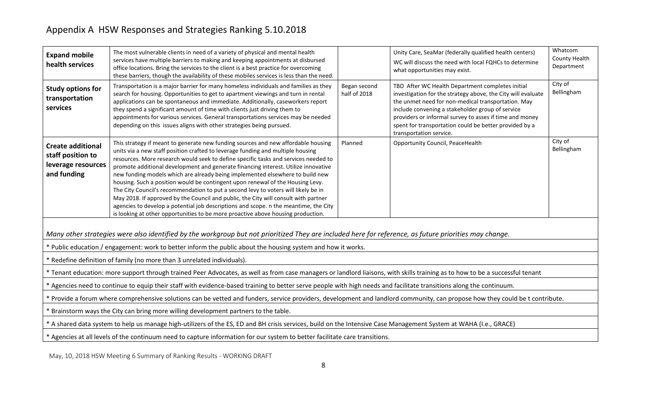| <b>Expand mobile</b><br>health services                                                                                                                                       | The most vulnerable clients in need of a variety of physical and mental health<br>services have multiple barriers to making and keeping appointments at disbursed<br>office locations. Bring the services to the client is a best practice for overcoming<br>these barriers, though the availability of these mobiles services is less than the need.                                                                                                                                                                                                                                                                                                                                                                                                                                                                                                                         |                              | Unity Care, SeaMar (federally qualified health centers)<br>WC will discuss the need with local FQHCs to determine<br>what opportunities may exist.                                                                                                                                                                                                                         | Whatcom<br>County Health<br>Department |  |  |  |
|-------------------------------------------------------------------------------------------------------------------------------------------------------------------------------|-------------------------------------------------------------------------------------------------------------------------------------------------------------------------------------------------------------------------------------------------------------------------------------------------------------------------------------------------------------------------------------------------------------------------------------------------------------------------------------------------------------------------------------------------------------------------------------------------------------------------------------------------------------------------------------------------------------------------------------------------------------------------------------------------------------------------------------------------------------------------------|------------------------------|----------------------------------------------------------------------------------------------------------------------------------------------------------------------------------------------------------------------------------------------------------------------------------------------------------------------------------------------------------------------------|----------------------------------------|--|--|--|
| <b>Study options for</b><br>transportation<br>services                                                                                                                        | Transportation is a major barrier for many homeless individuals and families as they<br>search for housing. Opportunities to get to apartment viewings and turn in rental<br>applications can be spontaneous and immediate. Additionally, caseworkers report<br>they spend a significant amount of time with clients just driving them to<br>appointments for various services. General transportations services may be needed<br>depending on this issues aligns with other strategies being pursued.                                                                                                                                                                                                                                                                                                                                                                        | Began second<br>half of 2018 | TBD After WC Health Department completes initial<br>investigation for the strategy above, the City will evaluate<br>the unmet need for non-medical transportation. May<br>include convening a stakeholder group of service<br>providers or informal survey to asses if time and money<br>spent for transportation could be better provided by a<br>transportation service. | City of<br>Bellingham                  |  |  |  |
| <b>Create additional</b><br>staff position to<br>leverage resources<br>and funding                                                                                            | This strategy if meant to generate new funding sources and new affordable housing<br>units via a new staff position crafted to leverage funding and multiple housing<br>resources. More research would seek to define specific tasks and services needed to<br>promote additional development and generate financing interest. Utilize innovative<br>new funding models which are already being implemented elsewhere to build new<br>housing. Such a position would be contingent upon renewal of the Housing Levy.<br>The City Council's recommendation to put a second levy to voters will likely be in<br>May 2018. If approved by the Council and public, the City will consult with partner<br>agencies to develop a potential job descriptions and scope. n the meantime, the City<br>is looking at other opportunities to be more proactive above housing production. | Planned                      | Opportunity Council, PeaceHealth                                                                                                                                                                                                                                                                                                                                           | City of<br>Bellingham                  |  |  |  |
|                                                                                                                                                                               | Many other strategies were also identified by the workgroup but not prioritized They are included here for reference, as future priorities may change.                                                                                                                                                                                                                                                                                                                                                                                                                                                                                                                                                                                                                                                                                                                        |                              |                                                                                                                                                                                                                                                                                                                                                                            |                                        |  |  |  |
|                                                                                                                                                                               | * Public education / engagement: work to better inform the public about the housing system and how it works.                                                                                                                                                                                                                                                                                                                                                                                                                                                                                                                                                                                                                                                                                                                                                                  |                              |                                                                                                                                                                                                                                                                                                                                                                            |                                        |  |  |  |
|                                                                                                                                                                               | * Redefine definition of family (no more than 3 unrelated individuals).                                                                                                                                                                                                                                                                                                                                                                                                                                                                                                                                                                                                                                                                                                                                                                                                       |                              |                                                                                                                                                                                                                                                                                                                                                                            |                                        |  |  |  |
| * Tenant education: more support through trained Peer Advocates, as well as from case managers or landlord liaisons, with skills training as to how to be a successful tenant |                                                                                                                                                                                                                                                                                                                                                                                                                                                                                                                                                                                                                                                                                                                                                                                                                                                                               |                              |                                                                                                                                                                                                                                                                                                                                                                            |                                        |  |  |  |
| * Agencies need to continue to equip their staff with evidence-based training to better serve people with high needs and facilitate transitions along the continuum.          |                                                                                                                                                                                                                                                                                                                                                                                                                                                                                                                                                                                                                                                                                                                                                                                                                                                                               |                              |                                                                                                                                                                                                                                                                                                                                                                            |                                        |  |  |  |
| * Provide a forum where comprehensive solutions can be vetted and funders, service providers, development and landlord community, can propose how they could be t contribute. |                                                                                                                                                                                                                                                                                                                                                                                                                                                                                                                                                                                                                                                                                                                                                                                                                                                                               |                              |                                                                                                                                                                                                                                                                                                                                                                            |                                        |  |  |  |
|                                                                                                                                                                               | Brainstorm ways the City can bring more willing development partners to the table.                                                                                                                                                                                                                                                                                                                                                                                                                                                                                                                                                                                                                                                                                                                                                                                            |                              |                                                                                                                                                                                                                                                                                                                                                                            |                                        |  |  |  |
|                                                                                                                                                                               | * A shared data system to help us manage high-utilizers of the ES, ED and BH crisis services, build on the Intensive Case Management System at WAHA (I.e., GRACE)                                                                                                                                                                                                                                                                                                                                                                                                                                                                                                                                                                                                                                                                                                             |                              |                                                                                                                                                                                                                                                                                                                                                                            |                                        |  |  |  |
|                                                                                                                                                                               | * Agencies at all levels of the continuum need to capture information for our system to better facilitate care transitions.                                                                                                                                                                                                                                                                                                                                                                                                                                                                                                                                                                                                                                                                                                                                                   |                              |                                                                                                                                                                                                                                                                                                                                                                            |                                        |  |  |  |